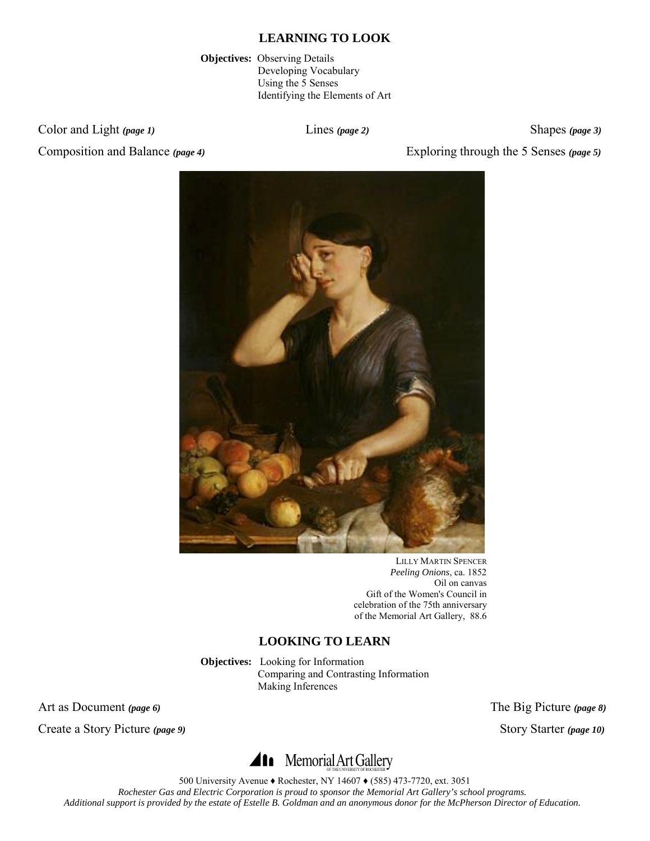**Objectives:** Observing Details Developing Vocabulary Using the 5 Senses Identifying the Elements of Art

Color and Light *(page 1)* Lines *(page 2)* Shapes *(page 3)* Shapes *(page 3)* 

Composition and Balance *(page 4)* Exploring through the 5 Senses *(page 5)*



LILLY MARTIN SPENCER *Peeling Onions*, ca. 1852 Oil on canvas Gift of the Women's Council in celebration of the 75th anniversary of the Memorial Art Gallery, 88.6

# **LOOKING TO LEARN**

**Objectives:** Looking for Information Comparing and Contrasting Information Making Inferences

Art as Document *(page 6)* The Big Picture *(page 8)*

Create a Story Picture (page 9) Story Starter (page 10)

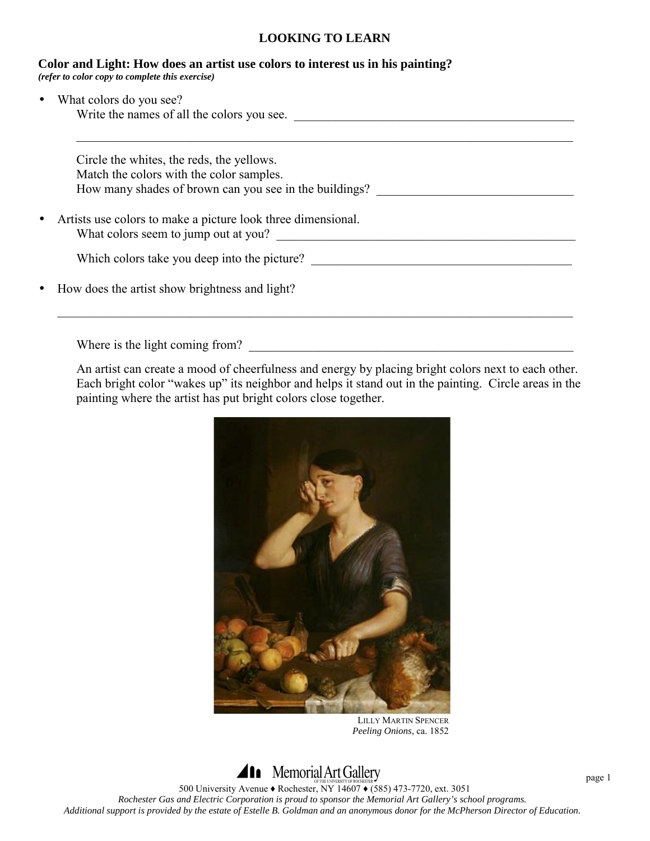$\mathcal{L}_\mathcal{L} = \mathcal{L}_\mathcal{L} = \mathcal{L}_\mathcal{L} = \mathcal{L}_\mathcal{L} = \mathcal{L}_\mathcal{L} = \mathcal{L}_\mathcal{L} = \mathcal{L}_\mathcal{L} = \mathcal{L}_\mathcal{L} = \mathcal{L}_\mathcal{L} = \mathcal{L}_\mathcal{L} = \mathcal{L}_\mathcal{L} = \mathcal{L}_\mathcal{L} = \mathcal{L}_\mathcal{L} = \mathcal{L}_\mathcal{L} = \mathcal{L}_\mathcal{L} = \mathcal{L}_\mathcal{L} = \mathcal{L}_\mathcal{L}$ 

|  |  |  |  | Color and Light: How does an artist use colors to interest us in his painting? |
|--|--|--|--|--------------------------------------------------------------------------------|
|  |  |  |  |                                                                                |

*(refer to color copy to complete this exercise)* 

What colors do you see? Write the names of all the colors you see. \_\_\_\_\_\_\_\_\_\_\_\_\_\_\_\_\_\_\_\_\_\_\_\_\_\_\_\_\_\_\_\_\_\_\_\_\_\_\_\_\_\_\_\_

| Circle the whites, the reds, the yellows.              |  |
|--------------------------------------------------------|--|
| Match the colors with the color samples.               |  |
| How many shades of brown can you see in the buildings? |  |

• Artists use colors to make a picture look three dimensional. What colors seem to jump out at you?

| Which colors take you deep into the picture? |  |
|----------------------------------------------|--|
|                                              |  |

• How does the artist show brightness and light?

Where is the light coming from?

An artist can create a mood of cheerfulness and energy by placing bright colors next to each other. Each bright color "wakes up" its neighbor and helps it stand out in the painting. Circle areas in the painting where the artist has put bright colors close together.

 $\mathcal{L}_\mathcal{L} = \{ \mathcal{L}_\mathcal{L} = \{ \mathcal{L}_\mathcal{L} = \{ \mathcal{L}_\mathcal{L} = \{ \mathcal{L}_\mathcal{L} = \{ \mathcal{L}_\mathcal{L} = \{ \mathcal{L}_\mathcal{L} = \{ \mathcal{L}_\mathcal{L} = \{ \mathcal{L}_\mathcal{L} = \{ \mathcal{L}_\mathcal{L} = \{ \mathcal{L}_\mathcal{L} = \{ \mathcal{L}_\mathcal{L} = \{ \mathcal{L}_\mathcal{L} = \{ \mathcal{L}_\mathcal{L} = \{ \mathcal{L}_\mathcal{$ 



LILLY MARTIN SPENCER *Peeling Onions*, ca. 1852

**Ala** Memorial Art Gallery 500 University Avenue ♦ Rochester, NY 14607 ♦ (585) 473-7720, ext. 3051 *Rochester Gas and Electric Corporation is proud to sponsor the Memorial Art Gallery's school programs. Additional support is provided by the estate of Estelle B. Goldman and an anonymous donor for the McPherson Director of Education.* 

page 1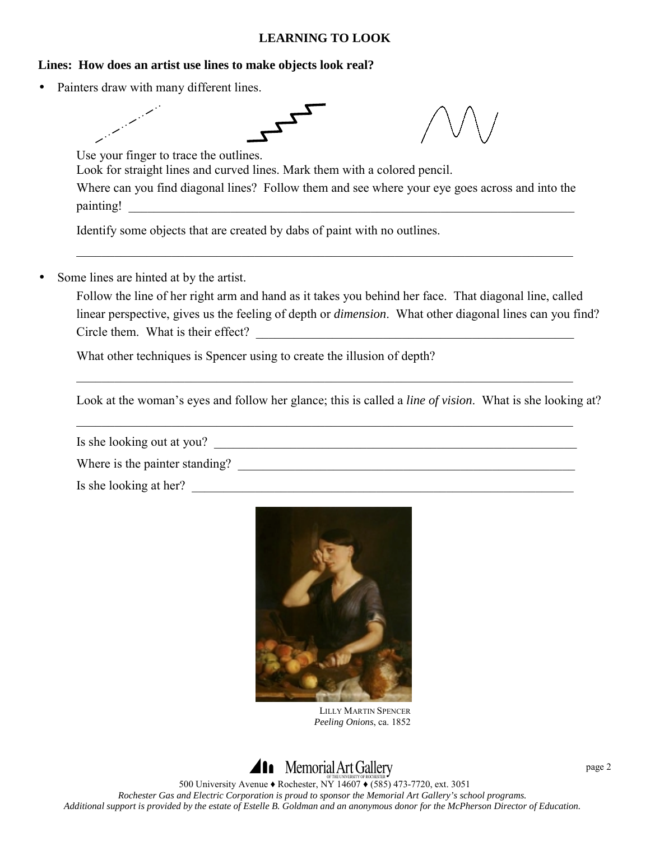# **Lines: How does an artist use lines to make objects look real?**

• Painters draw with many different lines.



Look at the woman's eyes and follow her glance; this is called a *line of vision*. What is she looking at?

 $\mathcal{L}_\mathcal{L} = \{ \mathcal{L}_\mathcal{L} = \{ \mathcal{L}_\mathcal{L} = \{ \mathcal{L}_\mathcal{L} = \{ \mathcal{L}_\mathcal{L} = \{ \mathcal{L}_\mathcal{L} = \{ \mathcal{L}_\mathcal{L} = \{ \mathcal{L}_\mathcal{L} = \{ \mathcal{L}_\mathcal{L} = \{ \mathcal{L}_\mathcal{L} = \{ \mathcal{L}_\mathcal{L} = \{ \mathcal{L}_\mathcal{L} = \{ \mathcal{L}_\mathcal{L} = \{ \mathcal{L}_\mathcal{L} = \{ \mathcal{L}_\mathcal{$ 

Is she looking out at you?

Where is the painter standing? \_\_\_\_\_\_\_\_\_\_\_\_\_\_\_\_\_\_\_\_\_\_\_\_\_\_\_\_\_\_\_\_\_\_\_\_\_\_\_\_\_\_\_\_\_\_\_\_\_\_\_\_\_

Is she looking at her?



LILLY MARTIN SPENCER *Peeling Onions*, ca. 1852

# **Ala** Memorial Art Gallery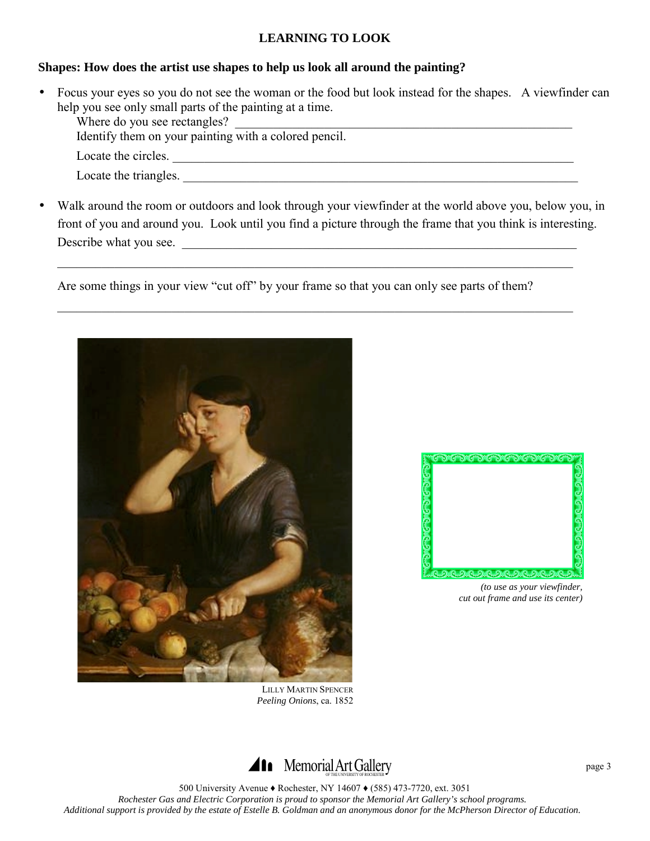#### **Shapes: How does the artist use shapes to help us look all around the painting?**

• Focus your eyes so you do not see the woman or the food but look instead for the shapes. A viewfinder can help you see only small parts of the painting at a time.

Where do you see rectangles?

Identify them on your painting with a colored pencil.

- Locate the circles. \_\_\_\_\_\_\_\_\_\_\_\_\_\_\_\_\_\_\_\_\_\_\_\_\_\_\_\_\_\_\_\_\_\_\_\_\_\_\_\_\_\_\_\_\_\_\_\_\_\_\_\_\_\_\_\_\_\_\_\_\_\_\_
- Locate the triangles.
- Walk around the room or outdoors and look through your viewfinder at the world above you, below you, in front of you and around you. Look until you find a picture through the frame that you think is interesting. Describe what you see.

 $\mathcal{L}_\mathcal{L} = \{ \mathcal{L}_\mathcal{L} = \{ \mathcal{L}_\mathcal{L} = \{ \mathcal{L}_\mathcal{L} = \{ \mathcal{L}_\mathcal{L} = \{ \mathcal{L}_\mathcal{L} = \{ \mathcal{L}_\mathcal{L} = \{ \mathcal{L}_\mathcal{L} = \{ \mathcal{L}_\mathcal{L} = \{ \mathcal{L}_\mathcal{L} = \{ \mathcal{L}_\mathcal{L} = \{ \mathcal{L}_\mathcal{L} = \{ \mathcal{L}_\mathcal{L} = \{ \mathcal{L}_\mathcal{L} = \{ \mathcal{L}_\mathcal{$ 

Are some things in your view "cut off" by your frame so that you can only see parts of them?

 $\mathcal{L}_\mathcal{L} = \{ \mathcal{L}_\mathcal{L} = \{ \mathcal{L}_\mathcal{L} = \{ \mathcal{L}_\mathcal{L} = \{ \mathcal{L}_\mathcal{L} = \{ \mathcal{L}_\mathcal{L} = \{ \mathcal{L}_\mathcal{L} = \{ \mathcal{L}_\mathcal{L} = \{ \mathcal{L}_\mathcal{L} = \{ \mathcal{L}_\mathcal{L} = \{ \mathcal{L}_\mathcal{L} = \{ \mathcal{L}_\mathcal{L} = \{ \mathcal{L}_\mathcal{L} = \{ \mathcal{L}_\mathcal{L} = \{ \mathcal{L}_\mathcal{$ 





*(to use as your viewfinder, cut out frame and use its center)* 

LILLY MARTIN SPENCER *Peeling Onions*, ca. 1852

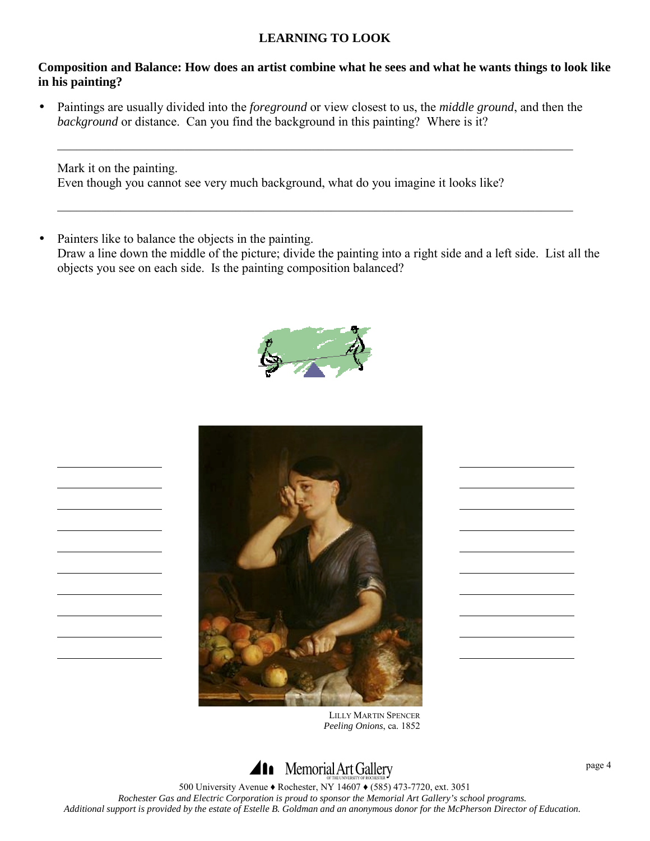#### **Composition and Balance: How does an artist combine what he sees and what he wants things to look like in his painting?**

• Paintings are usually divided into the *foreground* or view closest to us, the *middle ground*, and then the *background* or distance. Can you find the background in this painting? Where is it?

 $\mathcal{L}_\mathcal{L} = \{ \mathcal{L}_\mathcal{L} = \{ \mathcal{L}_\mathcal{L} = \{ \mathcal{L}_\mathcal{L} = \{ \mathcal{L}_\mathcal{L} = \{ \mathcal{L}_\mathcal{L} = \{ \mathcal{L}_\mathcal{L} = \{ \mathcal{L}_\mathcal{L} = \{ \mathcal{L}_\mathcal{L} = \{ \mathcal{L}_\mathcal{L} = \{ \mathcal{L}_\mathcal{L} = \{ \mathcal{L}_\mathcal{L} = \{ \mathcal{L}_\mathcal{L} = \{ \mathcal{L}_\mathcal{L} = \{ \mathcal{L}_\mathcal{$ 

 $\mathcal{L}_\mathcal{L} = \{ \mathcal{L}_\mathcal{L} = \{ \mathcal{L}_\mathcal{L} = \{ \mathcal{L}_\mathcal{L} = \{ \mathcal{L}_\mathcal{L} = \{ \mathcal{L}_\mathcal{L} = \{ \mathcal{L}_\mathcal{L} = \{ \mathcal{L}_\mathcal{L} = \{ \mathcal{L}_\mathcal{L} = \{ \mathcal{L}_\mathcal{L} = \{ \mathcal{L}_\mathcal{L} = \{ \mathcal{L}_\mathcal{L} = \{ \mathcal{L}_\mathcal{L} = \{ \mathcal{L}_\mathcal{L} = \{ \mathcal{L}_\mathcal{$ 

Mark it on the painting. Even though you cannot see very much background, what do you imagine it looks like?

• Painters like to balance the objects in the painting. Draw a line down the middle of the picture; divide the painting into a right side and a left side. List all the objects you see on each side. Is the painting composition balanced?





LILLY MARTIN SPENCER *Peeling Onions*, ca. 1852

# **Ala** Memorial Art Gallery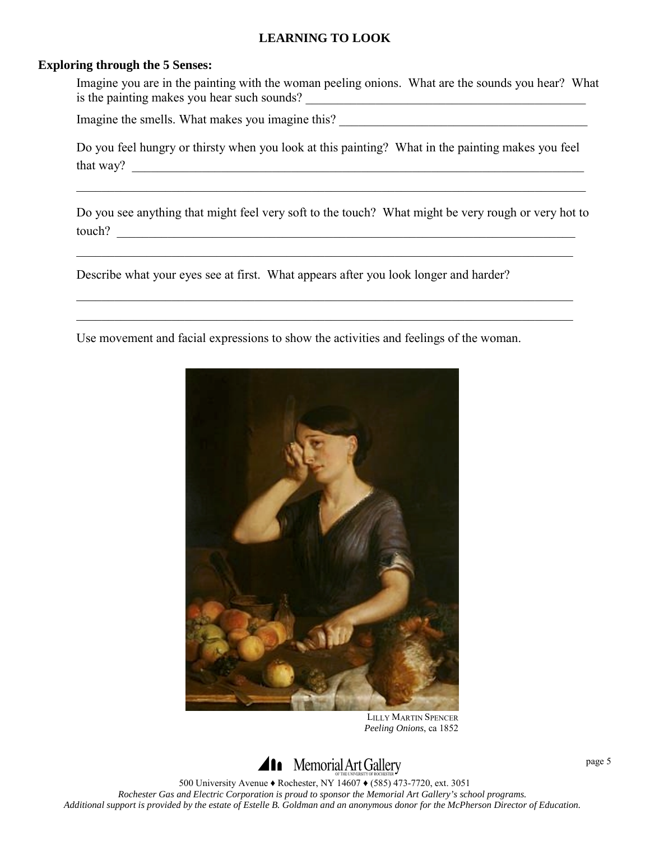#### **Exploring through the 5 Senses:**

 Imagine you are in the painting with the woman peeling onions. What are the sounds you hear? What is the painting makes you hear such sounds? \_\_\_\_\_\_\_\_\_\_\_\_\_\_\_\_\_\_\_\_\_\_\_\_\_\_\_\_\_\_\_\_\_\_\_\_\_\_\_\_\_\_\_\_

Imagine the smells. What makes you imagine this? \_\_\_\_\_\_\_\_\_\_\_\_\_\_\_\_\_\_\_\_\_\_\_\_\_\_\_\_\_\_\_\_

Do you feel hungry or thirsty when you look at this painting? What in the painting makes you feel that way?  $\Box$ 

Do you see anything that might feel very soft to the touch? What might be very rough or very hot to touch? \_\_\_\_\_\_\_\_\_\_\_\_\_\_\_\_\_\_\_\_\_\_\_\_\_\_\_\_\_\_\_\_\_\_\_\_\_\_\_\_\_\_\_\_\_\_\_\_\_\_\_\_\_\_\_\_\_\_\_\_\_\_\_\_\_\_\_\_\_\_\_\_

 $\mathcal{L}_\mathcal{L} = \mathcal{L}_\mathcal{L} = \mathcal{L}_\mathcal{L} = \mathcal{L}_\mathcal{L} = \mathcal{L}_\mathcal{L} = \mathcal{L}_\mathcal{L} = \mathcal{L}_\mathcal{L} = \mathcal{L}_\mathcal{L} = \mathcal{L}_\mathcal{L} = \mathcal{L}_\mathcal{L} = \mathcal{L}_\mathcal{L} = \mathcal{L}_\mathcal{L} = \mathcal{L}_\mathcal{L} = \mathcal{L}_\mathcal{L} = \mathcal{L}_\mathcal{L} = \mathcal{L}_\mathcal{L} = \mathcal{L}_\mathcal{L}$ 

 $\mathcal{L}_\mathcal{L} = \mathcal{L}_\mathcal{L} = \mathcal{L}_\mathcal{L} = \mathcal{L}_\mathcal{L} = \mathcal{L}_\mathcal{L} = \mathcal{L}_\mathcal{L} = \mathcal{L}_\mathcal{L} = \mathcal{L}_\mathcal{L} = \mathcal{L}_\mathcal{L} = \mathcal{L}_\mathcal{L} = \mathcal{L}_\mathcal{L} = \mathcal{L}_\mathcal{L} = \mathcal{L}_\mathcal{L} = \mathcal{L}_\mathcal{L} = \mathcal{L}_\mathcal{L} = \mathcal{L}_\mathcal{L} = \mathcal{L}_\mathcal{L}$ 

 $\mathcal{L}_\mathcal{L} = \{ \mathcal{L}_\mathcal{L} = \{ \mathcal{L}_\mathcal{L} = \{ \mathcal{L}_\mathcal{L} = \{ \mathcal{L}_\mathcal{L} = \{ \mathcal{L}_\mathcal{L} = \{ \mathcal{L}_\mathcal{L} = \{ \mathcal{L}_\mathcal{L} = \{ \mathcal{L}_\mathcal{L} = \{ \mathcal{L}_\mathcal{L} = \{ \mathcal{L}_\mathcal{L} = \{ \mathcal{L}_\mathcal{L} = \{ \mathcal{L}_\mathcal{L} = \{ \mathcal{L}_\mathcal{L} = \{ \mathcal{L}_\mathcal{$ 

Describe what your eyes see at first. What appears after you look longer and harder?

Use movement and facial expressions to show the activities and feelings of the woman.

 $\mathcal{L}_\mathcal{L} = \mathcal{L}_\mathcal{L} = \mathcal{L}_\mathcal{L} = \mathcal{L}_\mathcal{L} = \mathcal{L}_\mathcal{L} = \mathcal{L}_\mathcal{L} = \mathcal{L}_\mathcal{L} = \mathcal{L}_\mathcal{L} = \mathcal{L}_\mathcal{L} = \mathcal{L}_\mathcal{L} = \mathcal{L}_\mathcal{L} = \mathcal{L}_\mathcal{L} = \mathcal{L}_\mathcal{L} = \mathcal{L}_\mathcal{L} = \mathcal{L}_\mathcal{L} = \mathcal{L}_\mathcal{L} = \mathcal{L}_\mathcal{L}$ 



LILLY MARTIN SPENCER *Peeling Onions*, ca 1852

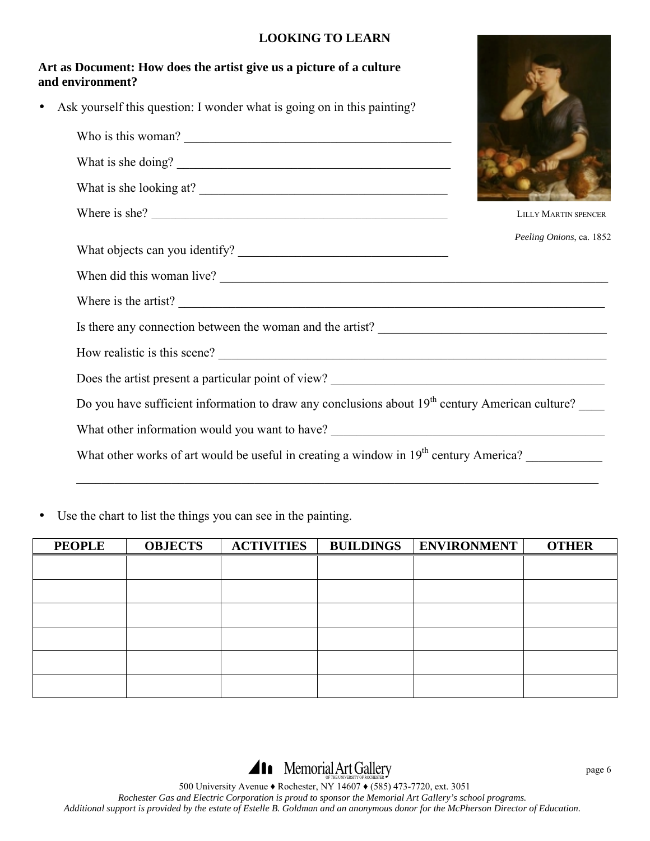# **Art as Document: How does the artist give us a picture of a culture and environment?**  Ask yourself this question: I wonder what is going on in this painting? Who is this woman? \_\_\_\_\_\_\_\_\_\_\_\_\_\_\_\_\_\_\_\_\_\_\_\_\_\_\_\_\_\_\_\_\_\_\_\_\_\_\_\_\_\_

What is she doing?

What is she looking at?

What objects can you identify? \_\_\_\_\_\_\_\_\_\_\_\_\_\_\_\_\_\_\_\_\_\_\_\_\_\_\_\_\_\_\_\_\_



Where is she? LILLY MARTIN SPENCER *Peeling Onions*, ca. 1852

When did this woman live?

Where is the artist?

Is there any connection between the woman and the artist?

How realistic is this scene?

Does the artist present a particular point of view? \_\_\_\_\_\_\_\_\_\_\_\_\_\_\_\_\_\_\_\_\_\_\_\_\_\_\_\_\_\_\_\_\_\_\_\_\_\_\_\_\_\_\_

Do you have sufficient information to draw any conclusions about 19<sup>th</sup> century American culture?

 $\mathcal{L}_\mathcal{L} = \{ \mathcal{L}_\mathcal{L} = \{ \mathcal{L}_\mathcal{L} = \{ \mathcal{L}_\mathcal{L} = \{ \mathcal{L}_\mathcal{L} = \{ \mathcal{L}_\mathcal{L} = \{ \mathcal{L}_\mathcal{L} = \{ \mathcal{L}_\mathcal{L} = \{ \mathcal{L}_\mathcal{L} = \{ \mathcal{L}_\mathcal{L} = \{ \mathcal{L}_\mathcal{L} = \{ \mathcal{L}_\mathcal{L} = \{ \mathcal{L}_\mathcal{L} = \{ \mathcal{L}_\mathcal{L} = \{ \mathcal{L}_\mathcal{$ 

What other information would you want to have? \_\_\_\_\_\_\_\_\_\_\_\_\_\_\_\_\_\_\_\_\_\_\_\_\_\_\_\_\_\_\_\_\_\_

What other works of art would be useful in creating a window in 19<sup>th</sup> century America?

• Use the chart to list the things you can see in the painting.

| <b>PEOPLE</b> | <b>OBJECTS</b> | <b>ACTIVITIES</b> | <b>BUILDINGS</b> | <b>ENVIRONMENT</b> | <b>OTHER</b> |
|---------------|----------------|-------------------|------------------|--------------------|--------------|
|               |                |                   |                  |                    |              |
|               |                |                   |                  |                    |              |
|               |                |                   |                  |                    |              |
|               |                |                   |                  |                    |              |
|               |                |                   |                  |                    |              |
|               |                |                   |                  |                    |              |

**411** Memorial Art Gallery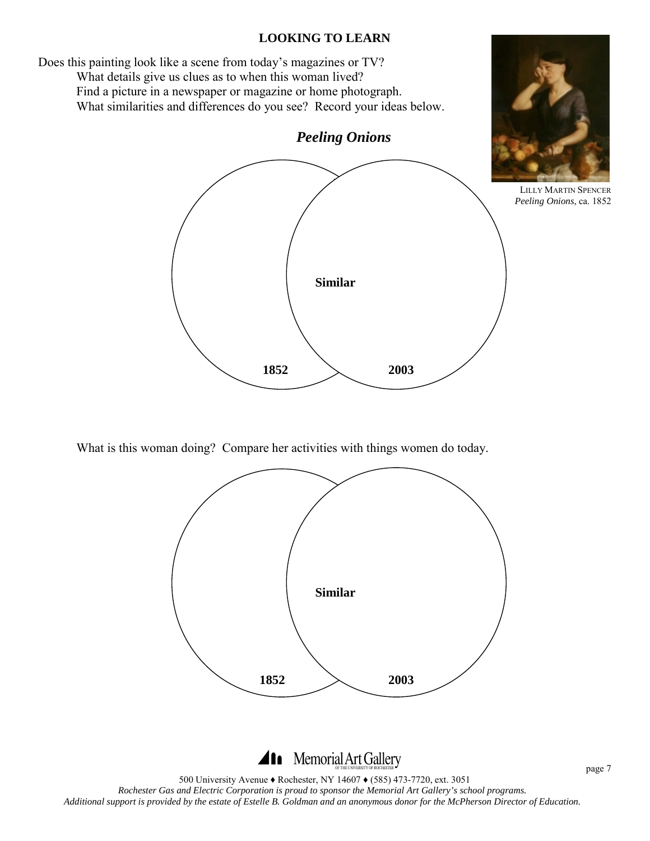Does this painting look like a scene from today's magazines or TV? What details give us clues as to when this woman lived? Find a picture in a newspaper or magazine or home photograph. What similarities and differences do you see? Record your ideas below. *Peeling Onions*  **Similar 1852 2003** 

What is this woman doing? Compare her activities with things women do today.



# Al Memorial Art Gallery

500 University Avenue ♦ Rochester, NY 14607 ♦ (585) 473-7720, ext. 3051 *Rochester Gas and Electric Corporation is proud to sponsor the Memorial Art Gallery's school programs. Additional support is provided by the estate of Estelle B. Goldman and an anonymous donor for the McPherson Director of Education.* 

LILLY MARTIN SPENCER *Peeling Onions*, ca. 1852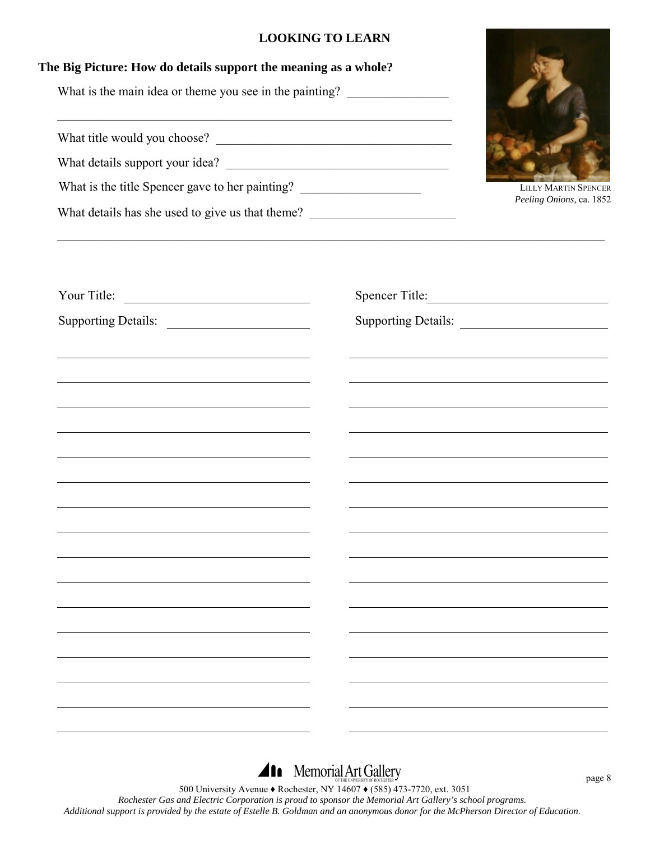| <b>LOOKING TO LEARN</b><br>The Big Picture: How do details support the meaning as a whole?                                                                                                                                                                                                                                                                                                                                                                                                                                                                                                                                                                            |  |                                                                                                                      |
|-----------------------------------------------------------------------------------------------------------------------------------------------------------------------------------------------------------------------------------------------------------------------------------------------------------------------------------------------------------------------------------------------------------------------------------------------------------------------------------------------------------------------------------------------------------------------------------------------------------------------------------------------------------------------|--|----------------------------------------------------------------------------------------------------------------------|
| What is the main idea or theme you see in the painting? _________________________                                                                                                                                                                                                                                                                                                                                                                                                                                                                                                                                                                                     |  |                                                                                                                      |
| <u> 1989 - Jan James James, margaret amerikan bahasa (j. 1989)</u><br>What title would you choose?                                                                                                                                                                                                                                                                                                                                                                                                                                                                                                                                                                    |  |                                                                                                                      |
|                                                                                                                                                                                                                                                                                                                                                                                                                                                                                                                                                                                                                                                                       |  |                                                                                                                      |
| What is the title Spencer gave to her painting? _________________________________                                                                                                                                                                                                                                                                                                                                                                                                                                                                                                                                                                                     |  | <b>LILLY MARTIN SPENCER</b><br>Peeling Onions, ca. 1852                                                              |
| What details has she used to give us that theme? ________________________________                                                                                                                                                                                                                                                                                                                                                                                                                                                                                                                                                                                     |  |                                                                                                                      |
|                                                                                                                                                                                                                                                                                                                                                                                                                                                                                                                                                                                                                                                                       |  |                                                                                                                      |
| Your Title:<br>Supporting Details:                                                                                                                                                                                                                                                                                                                                                                                                                                                                                                                                                                                                                                    |  | Spencer Title:<br>Supporting Details:                                                                                |
| <u> 1989 - Johann Stein, marwolaethau a bhann an t-Amhain an t-Amhain an t-Amhain an t-Amhain an t-Amhain an t-A</u><br><u> 1989 - Johann Barbara, martin amerikan basar dan berasal dalam basa dalam basa dalam basa dalam basa dalam b</u><br>the control of the control of the control of the control of the control of the control of the control of the control of the control of the control of the control of the control of the control of the control of the control<br><u> 1989 - Johann Stoff, deutscher Stoff, der Stoff, der Stoff, der Stoff, der Stoff, der Stoff, der Stoff, der S</u><br><u> 1989 - Johann Stoff, Amerikaansk politiker († 1908)</u> |  | <u> 1989 - Johann Stein, marwolaethau a bhann an t-Amhainn an t-Amhainn an t-Amhainn an t-Amhainn an t-Amhainn a</u> |
|                                                                                                                                                                                                                                                                                                                                                                                                                                                                                                                                                                                                                                                                       |  |                                                                                                                      |
|                                                                                                                                                                                                                                                                                                                                                                                                                                                                                                                                                                                                                                                                       |  |                                                                                                                      |
|                                                                                                                                                                                                                                                                                                                                                                                                                                                                                                                                                                                                                                                                       |  |                                                                                                                      |
|                                                                                                                                                                                                                                                                                                                                                                                                                                                                                                                                                                                                                                                                       |  |                                                                                                                      |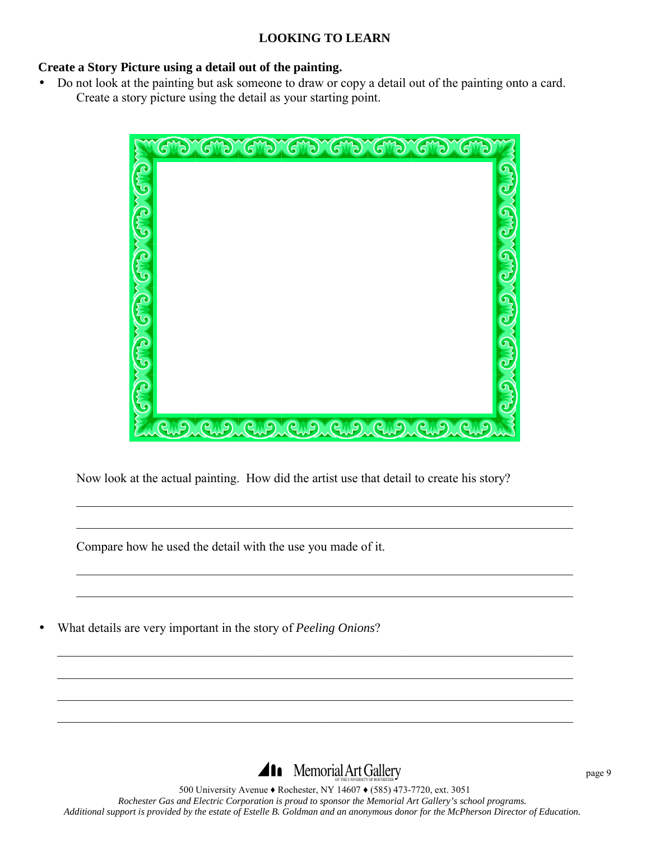# **Create a Story Picture using a detail out of the painting.**

• Do not look at the painting but ask someone to draw or copy a detail out of the painting onto a card. Create a story picture using the detail as your starting point.



Now look at the actual painting. How did the artist use that detail to create his story?

 $\mathcal{L}_\mathcal{L} = \{ \mathcal{L}_\mathcal{L} = \{ \mathcal{L}_\mathcal{L} = \{ \mathcal{L}_\mathcal{L} = \{ \mathcal{L}_\mathcal{L} = \{ \mathcal{L}_\mathcal{L} = \{ \mathcal{L}_\mathcal{L} = \{ \mathcal{L}_\mathcal{L} = \{ \mathcal{L}_\mathcal{L} = \{ \mathcal{L}_\mathcal{L} = \{ \mathcal{L}_\mathcal{L} = \{ \mathcal{L}_\mathcal{L} = \{ \mathcal{L}_\mathcal{L} = \{ \mathcal{L}_\mathcal{L} = \{ \mathcal{L}_\mathcal{$ 

 $\mathcal{L}_\mathcal{L} = \{ \mathcal{L}_\mathcal{L} = \{ \mathcal{L}_\mathcal{L} = \{ \mathcal{L}_\mathcal{L} = \{ \mathcal{L}_\mathcal{L} = \{ \mathcal{L}_\mathcal{L} = \{ \mathcal{L}_\mathcal{L} = \{ \mathcal{L}_\mathcal{L} = \{ \mathcal{L}_\mathcal{L} = \{ \mathcal{L}_\mathcal{L} = \{ \mathcal{L}_\mathcal{L} = \{ \mathcal{L}_\mathcal{L} = \{ \mathcal{L}_\mathcal{L} = \{ \mathcal{L}_\mathcal{L} = \{ \mathcal{L}_\mathcal{$ 

 $\mathcal{L}_\mathcal{L} = \mathcal{L}_\mathcal{L} = \mathcal{L}_\mathcal{L} = \mathcal{L}_\mathcal{L} = \mathcal{L}_\mathcal{L} = \mathcal{L}_\mathcal{L} = \mathcal{L}_\mathcal{L} = \mathcal{L}_\mathcal{L} = \mathcal{L}_\mathcal{L} = \mathcal{L}_\mathcal{L} = \mathcal{L}_\mathcal{L} = \mathcal{L}_\mathcal{L} = \mathcal{L}_\mathcal{L} = \mathcal{L}_\mathcal{L} = \mathcal{L}_\mathcal{L} = \mathcal{L}_\mathcal{L} = \mathcal{L}_\mathcal{L}$ 

 $\mathcal{L}_\mathcal{L} = \mathcal{L}_\mathcal{L} = \mathcal{L}_\mathcal{L} = \mathcal{L}_\mathcal{L} = \mathcal{L}_\mathcal{L} = \mathcal{L}_\mathcal{L} = \mathcal{L}_\mathcal{L} = \mathcal{L}_\mathcal{L} = \mathcal{L}_\mathcal{L} = \mathcal{L}_\mathcal{L} = \mathcal{L}_\mathcal{L} = \mathcal{L}_\mathcal{L} = \mathcal{L}_\mathcal{L} = \mathcal{L}_\mathcal{L} = \mathcal{L}_\mathcal{L} = \mathcal{L}_\mathcal{L} = \mathcal{L}_\mathcal{L}$ 

 $\mathcal{L}_\mathcal{L} = \{ \mathcal{L}_\mathcal{L} = \{ \mathcal{L}_\mathcal{L} = \{ \mathcal{L}_\mathcal{L} = \{ \mathcal{L}_\mathcal{L} = \{ \mathcal{L}_\mathcal{L} = \{ \mathcal{L}_\mathcal{L} = \{ \mathcal{L}_\mathcal{L} = \{ \mathcal{L}_\mathcal{L} = \{ \mathcal{L}_\mathcal{L} = \{ \mathcal{L}_\mathcal{L} = \{ \mathcal{L}_\mathcal{L} = \{ \mathcal{L}_\mathcal{L} = \{ \mathcal{L}_\mathcal{L} = \{ \mathcal{L}_\mathcal{$ 

 $\mathcal{L}_\text{max}$  , and the contribution of the contribution of the contribution of the contribution of the contribution of the contribution of the contribution of the contribution of the contribution of the contribution of t

 $\mathcal{L}_\text{max}$  , and the contribution of the contribution of the contribution of the contribution of the contribution of the contribution of the contribution of the contribution of the contribution of the contribution of t

 $\mathcal{L}_\mathcal{L} = \{ \mathcal{L}_\mathcal{L} = \{ \mathcal{L}_\mathcal{L} = \{ \mathcal{L}_\mathcal{L} = \{ \mathcal{L}_\mathcal{L} = \{ \mathcal{L}_\mathcal{L} = \{ \mathcal{L}_\mathcal{L} = \{ \mathcal{L}_\mathcal{L} = \{ \mathcal{L}_\mathcal{L} = \{ \mathcal{L}_\mathcal{L} = \{ \mathcal{L}_\mathcal{L} = \{ \mathcal{L}_\mathcal{L} = \{ \mathcal{L}_\mathcal{L} = \{ \mathcal{L}_\mathcal{L} = \{ \mathcal{L}_\mathcal{$ 

Compare how he used the detail with the use you made of it.

• What details are very important in the story of *Peeling Onions*?